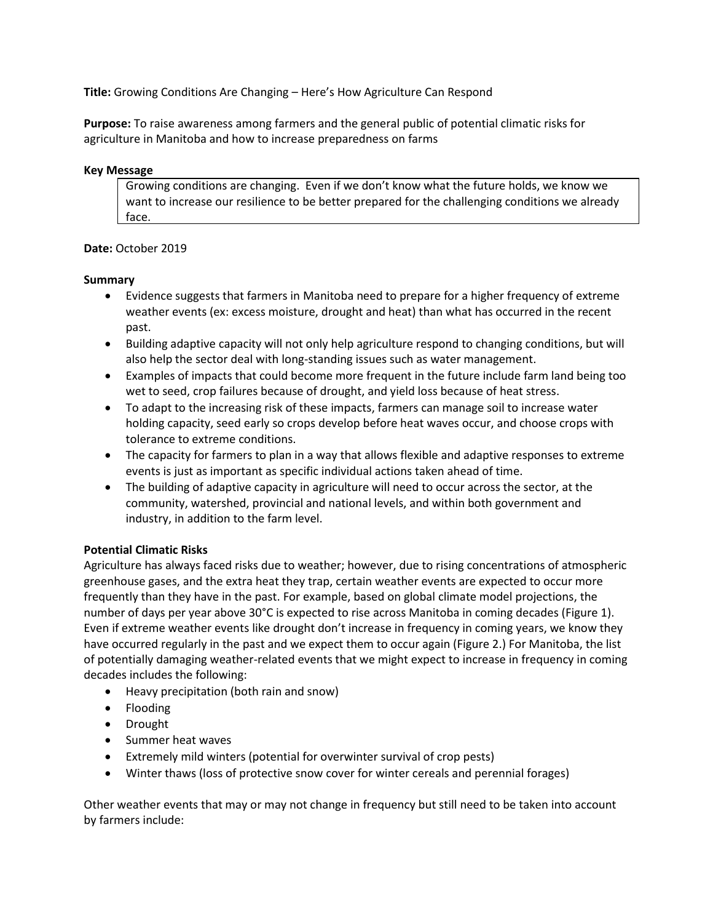**Title:** Growing Conditions Are Changing – Here's How Agriculture Can Respond

**Purpose:** To raise awareness among farmers and the general public of potential climatic risks for agriculture in Manitoba and how to increase preparedness on farms

#### **Key Message**

Growing conditions are changing. Even if we don't know what the future holds, we know we want to increase our resilience to be better prepared for the challenging conditions we already face.

### **Date:** October 2019

#### **Summary**

- Evidence suggests that farmers in Manitoba need to prepare for a higher frequency of extreme weather events (ex: excess moisture, drought and heat) than what has occurred in the recent past.
- Building adaptive capacity will not only help agriculture respond to changing conditions, but will also help the sector deal with long-standing issues such as water management.
- Examples of impacts that could become more frequent in the future include farm land being too wet to seed, crop failures because of drought, and yield loss because of heat stress.
- To adapt to the increasing risk of these impacts, farmers can manage soil to increase water holding capacity, seed early so crops develop before heat waves occur, and choose crops with tolerance to extreme conditions.
- The capacity for farmers to plan in a way that allows flexible and adaptive responses to extreme events is just as important as specific individual actions taken ahead of time.
- The building of adaptive capacity in agriculture will need to occur across the sector, at the community, watershed, provincial and national levels, and within both government and industry, in addition to the farm level.

### **Potential Climatic Risks**

Agriculture has always faced risks due to weather; however, due to rising concentrations of atmospheric greenhouse gases, and the extra heat they trap, certain weather events are expected to occur more frequently than they have in the past. For example, based on global climate model projections, the number of days per year above 30°C is expected to rise across Manitoba in coming decades (Figure 1). Even if extreme weather events like drought don't increase in frequency in coming years, we know they have occurred regularly in the past and we expect them to occur again (Figure 2.) For Manitoba, the list of potentially damaging weather-related events that we might expect to increase in frequency in coming decades includes the following:

- Heavy precipitation (both rain and snow)
- Flooding
- Drought
- Summer heat waves
- Extremely mild winters (potential for overwinter survival of crop pests)
- Winter thaws (loss of protective snow cover for winter cereals and perennial forages)

Other weather events that may or may not change in frequency but still need to be taken into account by farmers include: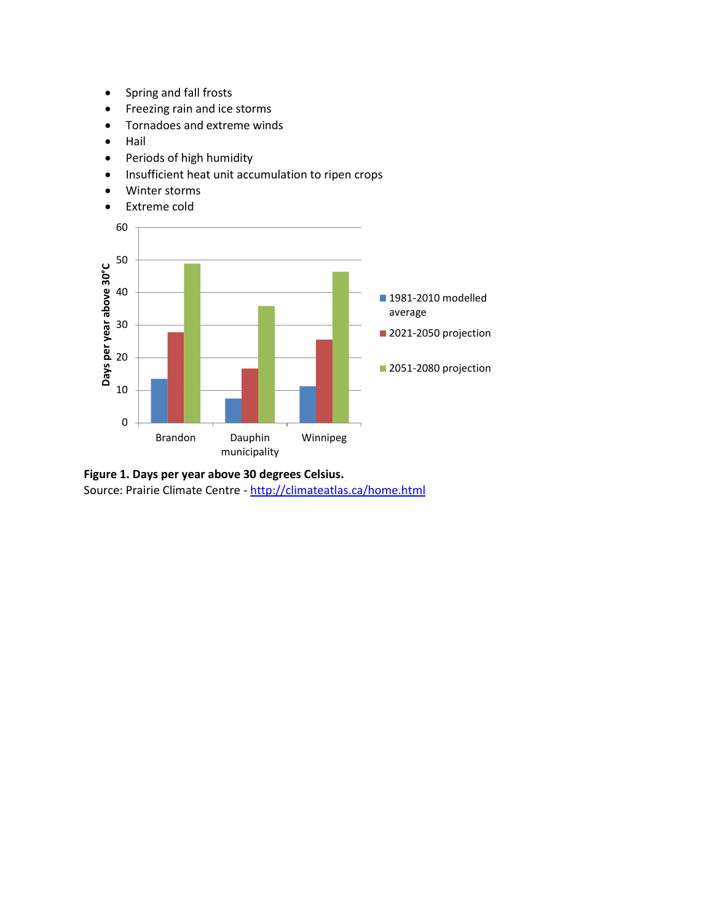- Spring and fall frosts
- Freezing rain and ice storms
- Tornadoes and extreme winds
- Hail
- Periods of high humidity
- Insufficient heat unit accumulation to ripen crops
- Winter storms
- Extreme cold



**Figure 1. Days per year above 30 degrees Celsius.** Source: Prairie Climate Centre - <http://climateatlas.ca/home.html>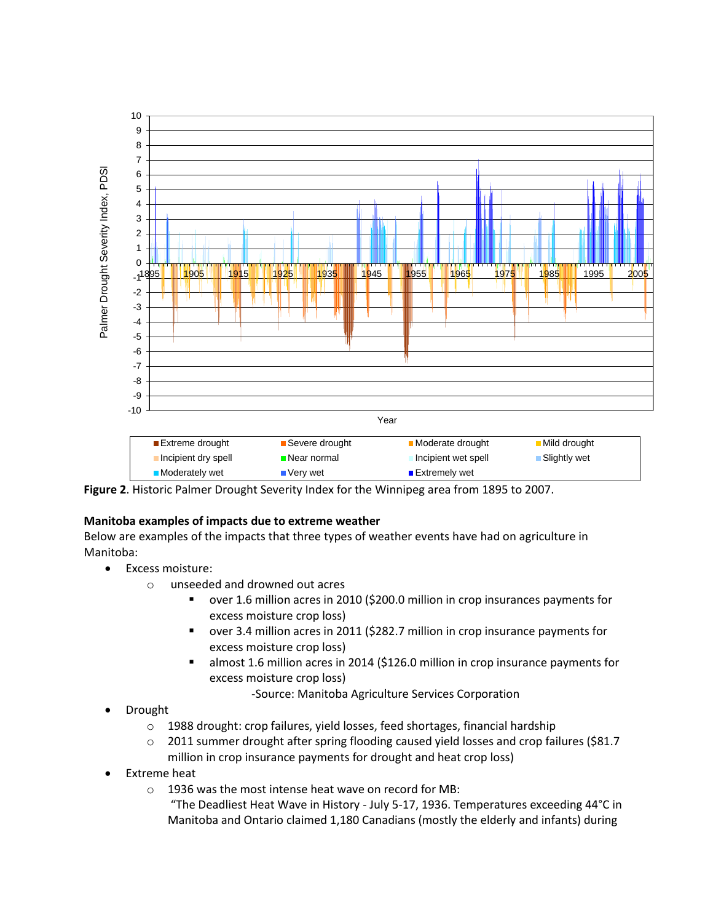

**Figure 2**. Historic Palmer Drought Severity Index for the Winnipeg area from 1895 to 2007.

### **Manitoba examples of impacts due to extreme weather**

Below are examples of the impacts that three types of weather events have had on agriculture in Manitoba:

- Excess moisture:
	- o unseeded and drowned out acres
		- over 1.6 million acres in 2010 (\$200.0 million in crop insurances payments for excess moisture crop loss)
		- over 3.4 million acres in 2011 (\$282.7 million in crop insurance payments for excess moisture crop loss)
		- almost 1.6 million acres in 2014 (\$126.0 million in crop insurance payments for excess moisture crop loss)

-Source: Manitoba Agriculture Services Corporation

- Drought
	- $\circ$  1988 drought: crop failures, yield losses, feed shortages, financial hardship
	- $\circ$  2011 summer drought after spring flooding caused yield losses and crop failures (\$81.7) million in crop insurance payments for drought and heat crop loss)
- Extreme heat
	- o 1936 was the most intense heat wave on record for MB:
		- "The Deadliest Heat Wave in History July 5-17, 1936. Temperatures exceeding 44°C in Manitoba and Ontario claimed 1,180 Canadians (mostly the elderly and infants) during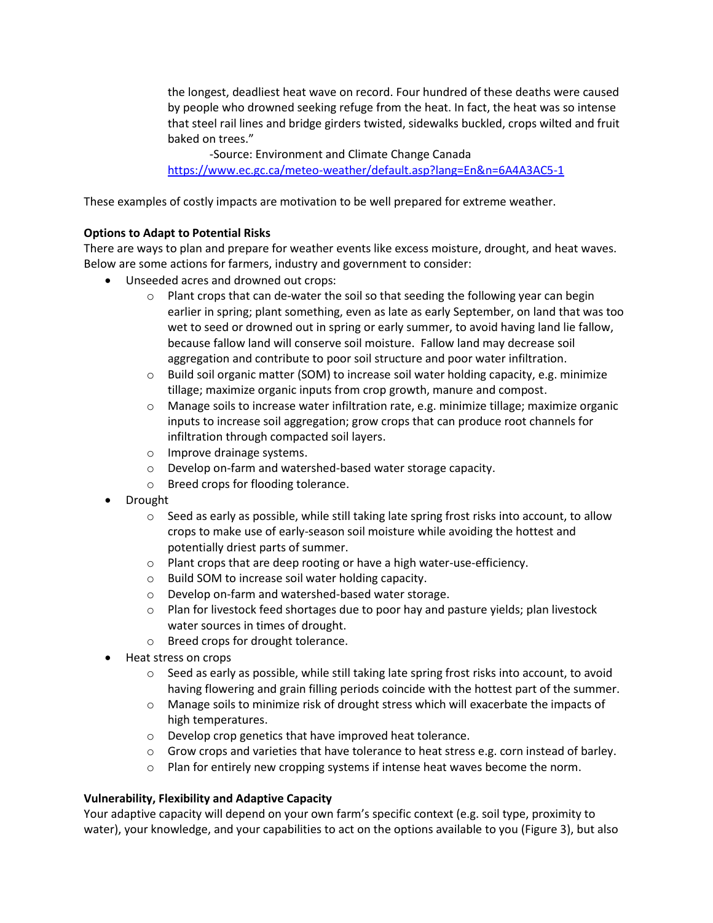the longest, deadliest heat wave on record. Four hundred of these deaths were caused by people who drowned seeking refuge from the heat. In fact, the heat was so intense that steel rail lines and bridge girders twisted, sidewalks buckled, crops wilted and fruit baked on trees."

-Source: Environment and Climate Change Canada

<https://www.ec.gc.ca/meteo-weather/default.asp?lang=En&n=6A4A3AC5-1>

These examples of costly impacts are motivation to be well prepared for extreme weather.

## **Options to Adapt to Potential Risks**

There are ways to plan and prepare for weather events like excess moisture, drought, and heat waves. Below are some actions for farmers, industry and government to consider:

- Unseeded acres and drowned out crops:
	- $\circ$  Plant crops that can de-water the soil so that seeding the following year can begin earlier in spring; plant something, even as late as early September, on land that was too wet to seed or drowned out in spring or early summer, to avoid having land lie fallow, because fallow land will conserve soil moisture. Fallow land may decrease soil aggregation and contribute to poor soil structure and poor water infiltration.
	- $\circ$  Build soil organic matter (SOM) to increase soil water holding capacity, e.g. minimize tillage; maximize organic inputs from crop growth, manure and compost.
	- $\circ$  Manage soils to increase water infiltration rate, e.g. minimize tillage; maximize organic inputs to increase soil aggregation; grow crops that can produce root channels for infiltration through compacted soil layers.
	- o Improve drainage systems.
	- o Develop on-farm and watershed-based water storage capacity.
	- o Breed crops for flooding tolerance.
- Drought
	- $\circ$  Seed as early as possible, while still taking late spring frost risks into account, to allow crops to make use of early-season soil moisture while avoiding the hottest and potentially driest parts of summer.
	- o Plant crops that are deep rooting or have a high water-use-efficiency.
	- o Build SOM to increase soil water holding capacity.
	- o Develop on-farm and watershed-based water storage.
	- $\circ$  Plan for livestock feed shortages due to poor hay and pasture yields; plan livestock water sources in times of drought.
	- o Breed crops for drought tolerance.
- Heat stress on crops
	- o Seed as early as possible, while still taking late spring frost risks into account, to avoid having flowering and grain filling periods coincide with the hottest part of the summer.
	- o Manage soils to minimize risk of drought stress which will exacerbate the impacts of high temperatures.
	- o Develop crop genetics that have improved heat tolerance.
	- $\circ$  Grow crops and varieties that have tolerance to heat stress e.g. corn instead of barley.
	- o Plan for entirely new cropping systems if intense heat waves become the norm.

# **Vulnerability, Flexibility and Adaptive Capacity**

Your adaptive capacity will depend on your own farm's specific context (e.g. soil type, proximity to water), your knowledge, and your capabilities to act on the options available to you (Figure 3), but also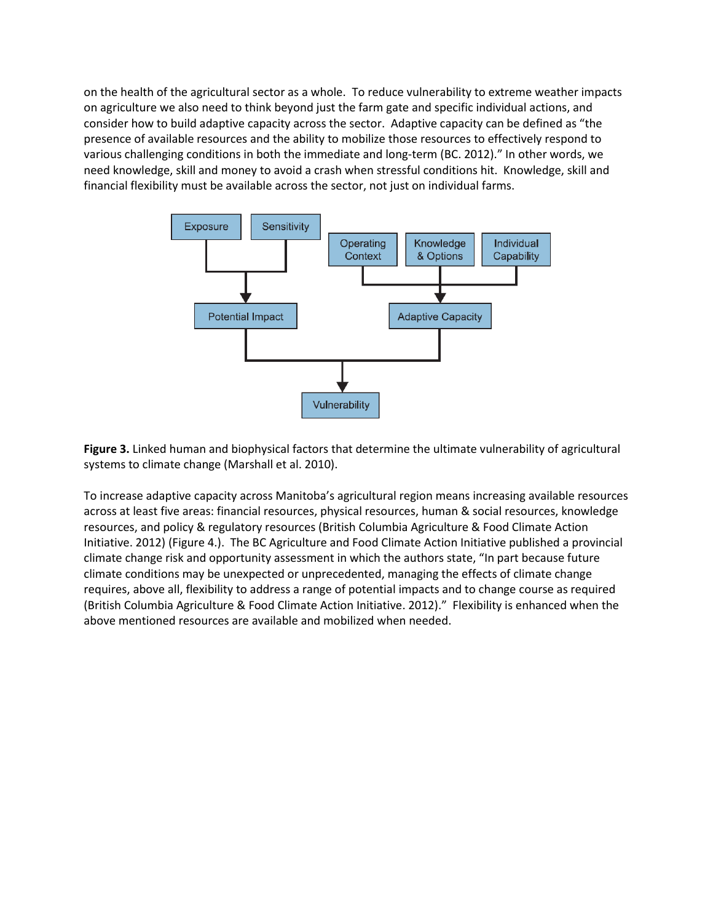on the health of the agricultural sector as a whole. To reduce vulnerability to extreme weather impacts on agriculture we also need to think beyond just the farm gate and specific individual actions, and consider how to build adaptive capacity across the sector. Adaptive capacity can be defined as "the presence of available resources and the ability to mobilize those resources to effectively respond to various challenging conditions in both the immediate and long-term (BC. 2012)." In other words, we need knowledge, skill and money to avoid a crash when stressful conditions hit. Knowledge, skill and financial flexibility must be available across the sector, not just on individual farms.



**Figure 3.** Linked human and biophysical factors that determine the ultimate vulnerability of agricultural systems to climate change (Marshall et al. 2010).

To increase adaptive capacity across Manitoba's agricultural region means increasing available resources across at least five areas: financial resources, physical resources, human & social resources, knowledge resources, and policy & regulatory resources (British Columbia Agriculture & Food Climate Action Initiative. 2012) (Figure 4.). The BC Agriculture and Food Climate Action Initiative published a provincial climate change risk and opportunity assessment in which the authors state, "In part because future climate conditions may be unexpected or unprecedented, managing the effects of climate change requires, above all, flexibility to address a range of potential impacts and to change course as required (British Columbia Agriculture & Food Climate Action Initiative. 2012)." Flexibility is enhanced when the above mentioned resources are available and mobilized when needed.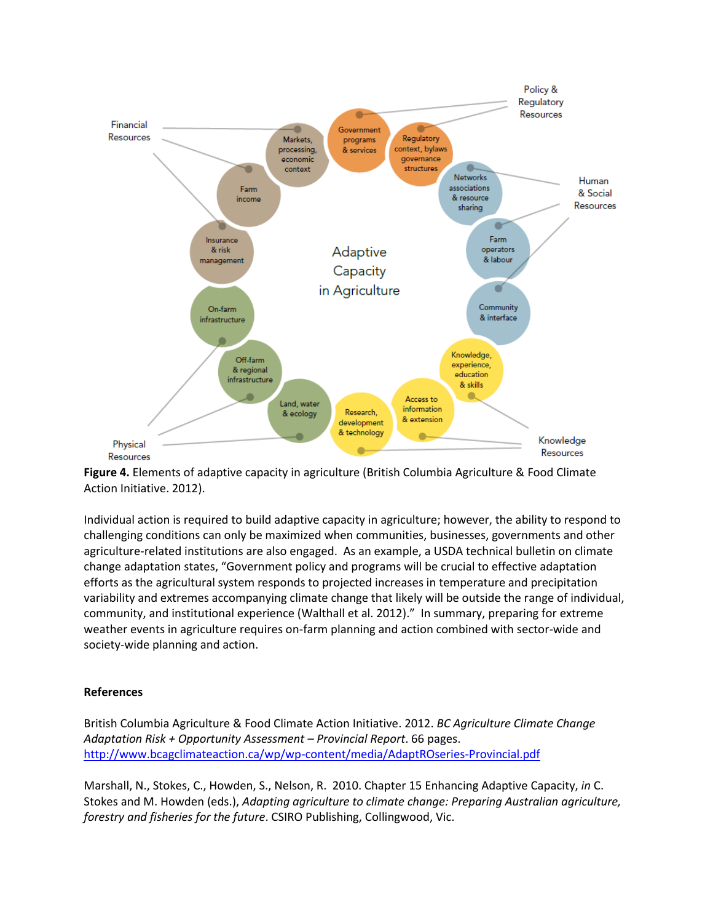

**Figure 4.** Elements of adaptive capacity in agriculture (British Columbia Agriculture & Food Climate Action Initiative. 2012).

Individual action is required to build adaptive capacity in agriculture; however, the ability to respond to challenging conditions can only be maximized when communities, businesses, governments and other agriculture-related institutions are also engaged. As an example, a USDA technical bulletin on climate change adaptation states, "Government policy and programs will be crucial to effective adaptation efforts as the agricultural system responds to projected increases in temperature and precipitation variability and extremes accompanying climate change that likely will be outside the range of individual, community, and institutional experience (Walthall et al. 2012)." In summary, preparing for extreme weather events in agriculture requires on-farm planning and action combined with sector-wide and society-wide planning and action.

### **References**

British Columbia Agriculture & Food Climate Action Initiative. 2012. *BC Agriculture Climate Change Adaptation Risk + Opportunity Assessment – Provincial Report*. 66 pages. <http://www.bcagclimateaction.ca/wp/wp-content/media/AdaptROseries-Provincial.pdf>

Marshall, N., Stokes, C., Howden, S., Nelson, R. 2010. Chapter 15 Enhancing Adaptive Capacity, *in* C. Stokes and M. Howden (eds.), *Adapting agriculture to climate change: Preparing Australian agriculture, forestry and fisheries for the future*. CSIRO Publishing, Collingwood, Vic.